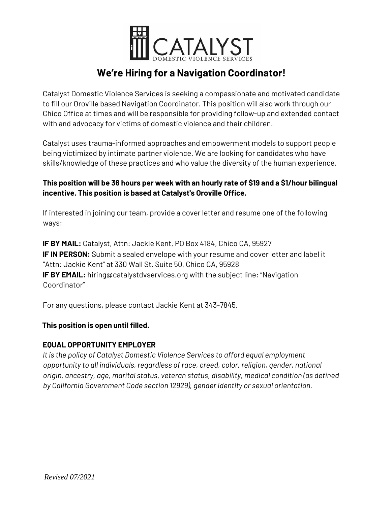

# **We're Hiring for a Navigation Coordinator!**

Catalyst Domestic Violence Services is seeking a compassionate and motivated candidate to fill our Oroville based Navigation Coordinator. This position will also work through our Chico Office at times and will be responsible for providing follow-up and extended contact with and advocacy for victims of domestic violence and their children.

Catalyst uses trauma-informed approaches and empowerment models to support people being victimized by intimate partner violence. We are looking for candidates who have skills/knowledge of these practices and who value the diversity of the human experience.

### **This position will be 36 hours per week with an hourly rate of \$19 and a \$1/hour bilingual incentive. This position is based at Catalyst's Oroville Office.**

If interested in joining our team, provide a cover letter and resume one of the following ways:

**IF BY MAIL:** Catalyst, Attn: Jackie Kent, PO Box 4184, Chico CA, 95927 **IF IN PERSON:** Submit a sealed envelope with your resume and cover letter and label it "Attn: Jackie Kent" at 330 Wall St. Suite 50, Chico CA, 95928 **IF BY EMAIL:** hiring@catalystdvservices.org with the subject line: "Navigation Coordinator"

For any questions, please contact Jackie Kent at 343-7845.

## **This position is open until filled.**

## **EQUAL OPPORTUNITY EMPLOYER**

*It is the policy of Catalyst Domestic Violence Services to afford equal employment opportunity to all individuals, regardless of race, creed, color, religion, gender, national origin, ancestry, age, marital status, veteran status, disability, medical condition (as defined by California Government Code section 12929), gender identity or sexual orientation.*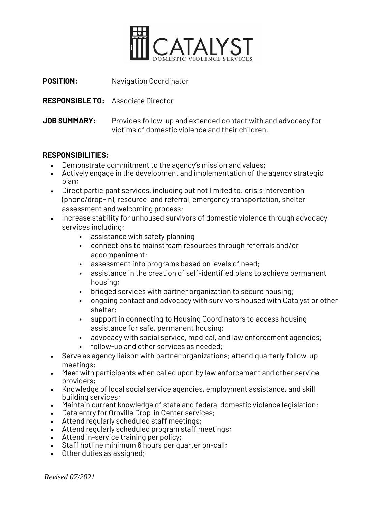

**POSITION:** Navigation Coordinator

**RESPONSIBLE TO:** Associate Director

**JOB SUMMARY:** Provides follow-up and extended contact with and advocacy for victims of domestic violence and their children.

#### **RESPONSIBILITIES:**

- Demonstrate commitment to the agency's mission and values;
- Actively engage in the development and implementation of the agency strategic plan;
- Direct participant services, including but not limited to: crisis intervention (phone/drop-in), resource and referral, emergency transportation, shelter assessment and welcoming process;
- Increase stability for unhoused survivors of domestic violence through advocacy services including:
	- assistance with safety planning
	- connections to mainstream resources through referrals and/or accompaniment;
	- assessment into programs based on levels of need;
	- assistance in the creation of self-identified plans to achieve permanent housing;
	- bridged services with partner organization to secure housing;
	- ongoing contact and advocacy with survivors housed with Catalyst or other shelter;
	- support in connecting to Housing Coordinators to access housing assistance for safe, permanent housing;
	- advocacy with social service, medical, and law enforcement agencies;
	- follow-up and other services as needed;
- Serve as agency liaison with partner organizations; attend quarterly follow-up meetings;
- Meet with participants when called upon by law enforcement and other service providers;
- Knowledge of local social service agencies, employment assistance, and skill building services;
- Maintain current knowledge of state and federal domestic violence legislation;
- Data entry for Oroville Drop-in Center services;
- Attend regularly scheduled staff meetings;
- Attend regularly scheduled program staff meetings;
- Attend in-service training per policy;
- Staff hotline minimum 6 hours per quarter on-call;
- Other duties as assigned;